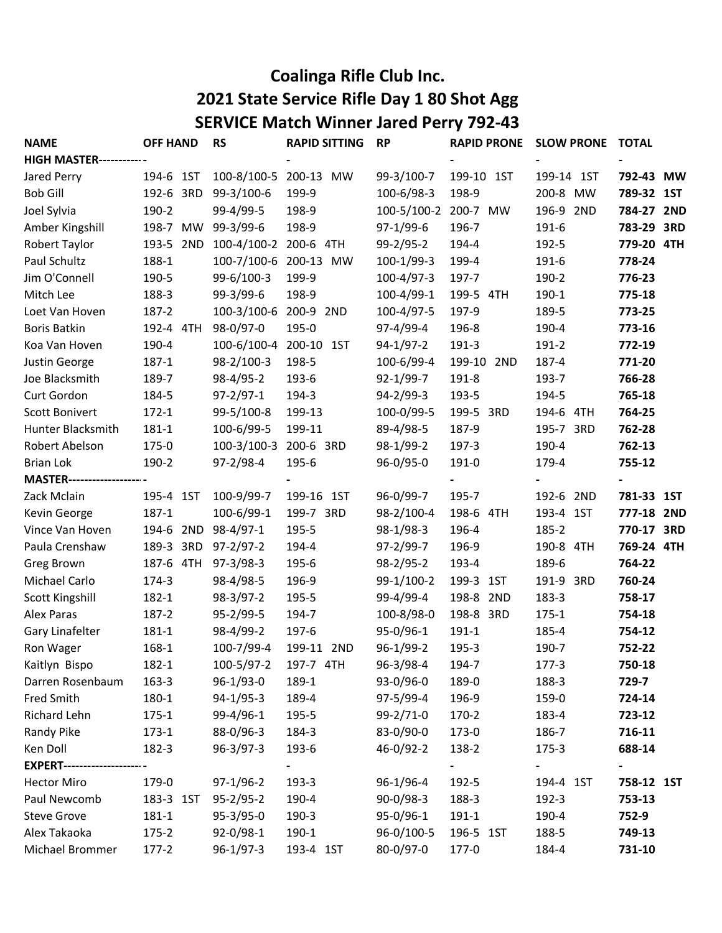## Coalinga Rifle Club Inc. 2021 State Service Rifle Day 1 80 Shot Agg SERVICE Match Winner Jared Perry 792-43

| <b>NAME</b>                          | <b>OFF HAND</b>     | <b>RS</b>                       | <b>RAPID SITTING</b>  | <b>RP</b>       | <b>RAPID PRONE</b> | <b>SLOW PRONE</b> | <b>TOTAL</b> |
|--------------------------------------|---------------------|---------------------------------|-----------------------|-----------------|--------------------|-------------------|--------------|
| <b>HIGH MASTER-------------</b>      |                     |                                 |                       |                 |                    |                   |              |
| Jared Perry                          | 194-6 1ST           |                                 | 100-8/100-5 200-13 MW | 99-3/100-7      | 199-10 1ST         | 199-14 1ST        | 792-43 MW    |
| <b>Bob Gill</b>                      | 192-6 3RD           | 99-3/100-6                      | 199-9                 | 100-6/98-3      | 198-9              | 200-8 MW          | 789-32 1ST   |
| Joel Sylvia                          | 190-2               | 99-4/99-5                       | 198-9                 | 100-5/100-2     | 200-7 MW           | 196-9 2ND         | 784-27 2ND   |
| Amber Kingshill                      | 198-7 MW 99-3/99-6  |                                 | 198-9                 | 97-1/99-6       | 196-7              | 191-6             | 783-29 3RD   |
| Robert Taylor                        |                     | 193-5 2ND 100-4/100-2 200-6 4TH |                       | 99-2/95-2       | 194-4              | 192-5             | 779-20 4TH   |
| Paul Schultz                         | 188-1               |                                 | 100-7/100-6 200-13 MW | 100-1/99-3      | 199-4              | 191-6             | 778-24       |
| Jim O'Connell                        | 190-5               | 99-6/100-3                      | 199-9                 | 100-4/97-3      | 197-7              | 190-2             | 776-23       |
| Mitch Lee                            | 188-3               | 99-3/99-6                       | 198-9                 | 100-4/99-1      | 199-5 4TH          | 190-1             | 775-18       |
| Loet Van Hoven                       | 187-2               | 100-3/100-6 200-9 2ND           |                       | 100-4/97-5      | 197-9              | 189-5             | 773-25       |
| <b>Boris Batkin</b>                  | 192-4 4TH           | 98-0/97-0                       | 195-0                 | 97-4/99-4       | 196-8              | 190-4             | 773-16       |
| Koa Van Hoven                        | 190-4               | 100-6/100-4 200-10 1ST          |                       | $94-1/97-2$     | 191-3              | 191-2             | 772-19       |
| Justin George                        | $187 - 1$           | 98-2/100-3                      | 198-5                 | 100-6/99-4      | 199-10 2ND         | 187-4             | 771-20       |
| Joe Blacksmith                       | 189-7               | 98-4/95-2                       | 193-6                 | $92 - 1/99 - 7$ | 191-8              | 193-7             | 766-28       |
| Curt Gordon                          | 184-5               | $97 - 2/97 - 1$                 | 194-3                 | $94 - 2/99 - 3$ | 193-5              | 194-5             | 765-18       |
| Scott Bonivert                       | $172 - 1$           | 99-5/100-8                      | 199-13                | 100-0/99-5      | 199-5 3RD          | 194-6 4TH         | 764-25       |
| Hunter Blacksmith                    | $181 - 1$           | 100-6/99-5                      | 199-11                | 89-4/98-5       | 187-9              | 195-7 3RD         | 762-28       |
| Robert Abelson                       | 175-0               | $100-3/100-3$                   | 200-6 3RD             | 98-1/99-2       | 197-3              | 190-4             | 762-13       |
| <b>Brian Lok</b>                     | 190-2               | 97-2/98-4                       | 195-6                 | 96-0/95-0       | 191-0              | 179-4             | 755-12       |
| <b>MASTER-----------------------</b> |                     |                                 |                       |                 |                    |                   |              |
| Zack Mclain                          | 195-4 1ST           | 100-9/99-7                      | 199-16 1ST            | 96-0/99-7       | 195-7              | 192-6 2ND         | 781-33 1ST   |
| Kevin George                         | $187 - 1$           | 100-6/99-1                      | 199-7 3RD             | 98-2/100-4      | 198-6 4TH          | 193-4 1ST         | 777-18 2ND   |
| Vince Van Hoven                      | 194-6 2ND 98-4/97-1 |                                 | 195-5                 | $98-1/98-3$     | 196-4              | 185-2             | 770-17 3RD   |
| Paula Crenshaw                       | 189-3 3RD           | $97 - 2/97 - 2$                 | 194-4                 | $97 - 2/99 - 7$ | 196-9              | 190-8 4TH         | 769-24 4TH   |
| Greg Brown                           | 187-6 4TH 97-3/98-3 |                                 | 195-6                 | $98-2/95-2$     | 193-4              | 189-6             | 764-22       |
| Michael Carlo                        | 174-3               | 98-4/98-5                       | 196-9                 | 99-1/100-2      | 199-3 1ST          | 191-9 3RD         | 760-24       |
| Scott Kingshill                      | 182-1               | 98-3/97-2                       | 195-5                 | 99-4/99-4       | 198-8 2ND          | 183-3             | 758-17       |
| Alex Paras                           | 187-2               | $95 - 2/99 - 5$                 | 194-7                 | 100-8/98-0      | 198-8 3RD          | $175 - 1$         | 754-18       |
| Gary Linafelter                      | 181-1               | 98-4/99-2                       | 197-6                 | 95-0/96-1       | $191 - 1$          | 185-4             | 754-12       |
| Ron Wager                            | 168-1               | 100-7/99-4                      | 199-11 2ND            | 96-1/99-2       | 195-3              | 190-7             | 752-22       |
| Kaitlyn Bispo                        | 182-1               | 100-5/97-2                      | 197-7 4TH             | 96-3/98-4       | 194-7              | 177-3             | 750-18       |
| Darren Rosenbaum                     | 163-3               | 96-1/93-0                       | 189-1                 | 93-0/96-0       | 189-0              | 188-3             | 729-7        |
| Fred Smith                           | 180-1               | $94-1/95-3$                     | 189-4                 | 97-5/99-4       | 196-9              | 159-0             | 724-14       |
| Richard Lehn                         | $175 - 1$           | 99-4/96-1                       | 195-5                 | $99 - 2/71 - 0$ | 170-2              | 183-4             | 723-12       |
| Randy Pike                           | $173 - 1$           | 88-0/96-3                       | 184-3                 | 83-0/90-0       | 173-0              | 186-7             | 716-11       |
| Ken Doll                             | 182-3               | $96-3/97-3$                     | 193-6                 | 46-0/92-2       | 138-2              | $175 - 3$         | 688-14       |
| <b>EXPERT--------------------</b>    |                     |                                 |                       |                 |                    |                   |              |
| <b>Hector Miro</b>                   | 179-0               | $97-1/96-2$                     | 193-3                 | 96-1/96-4       | 192-5              | 194-4 1ST         | 758-12 1ST   |
| Paul Newcomb                         | 183-3 1ST           | $95 - 2/95 - 2$                 | 190-4                 | $90-0/98-3$     | 188-3              | 192-3             | 753-13       |
| <b>Steve Grove</b>                   | $181 - 1$           | $95-3/95-0$                     | 190-3                 | 95-0/96-1       | 191-1              | 190-4             | 752-9        |
| Alex Takaoka                         | $175 - 2$           | 92-0/98-1                       | 190-1                 | 96-0/100-5      | 196-5 1ST          | 188-5             | 749-13       |
| Michael Brommer                      | $177-2$             | 96-1/97-3                       | 193-4 1ST             | 80-0/97-0       | 177-0              | 184-4             | 731-10       |